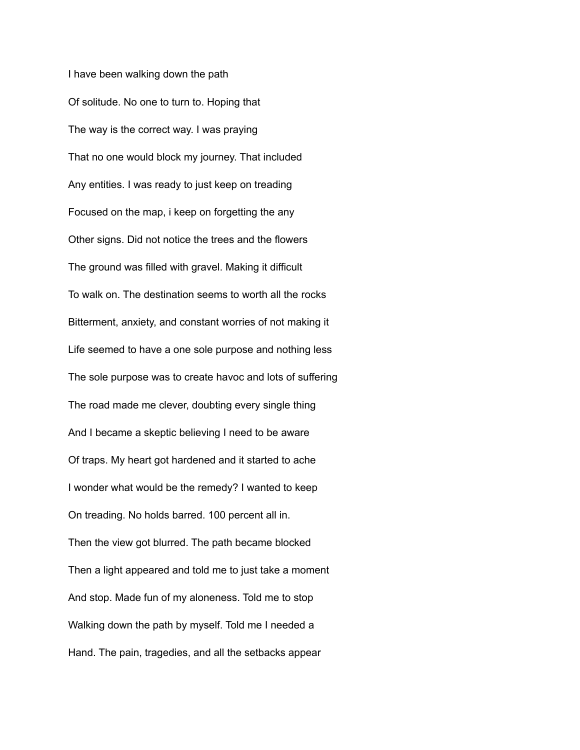I have been walking down the path Of solitude. No one to turn to. Hoping that The way is the correct way. I was praying That no one would block my journey. That included Any entities. I was ready to just keep on treading Focused on the map, i keep on forgetting the any Other signs. Did not notice the trees and the flowers The ground was filled with gravel. Making it difficult To walk on. The destination seems to worth all the rocks Bitterment, anxiety, and constant worries of not making it Life seemed to have a one sole purpose and nothing less The sole purpose was to create havoc and lots of suffering The road made me clever, doubting every single thing And I became a skeptic believing I need to be aware Of traps. My heart got hardened and it started to ache I wonder what would be the remedy? I wanted to keep On treading. No holds barred. 100 percent all in. Then the view got blurred. The path became blocked Then a light appeared and told me to just take a moment And stop. Made fun of my aloneness. Told me to stop Walking down the path by myself. Told me I needed a Hand. The pain, tragedies, and all the setbacks appear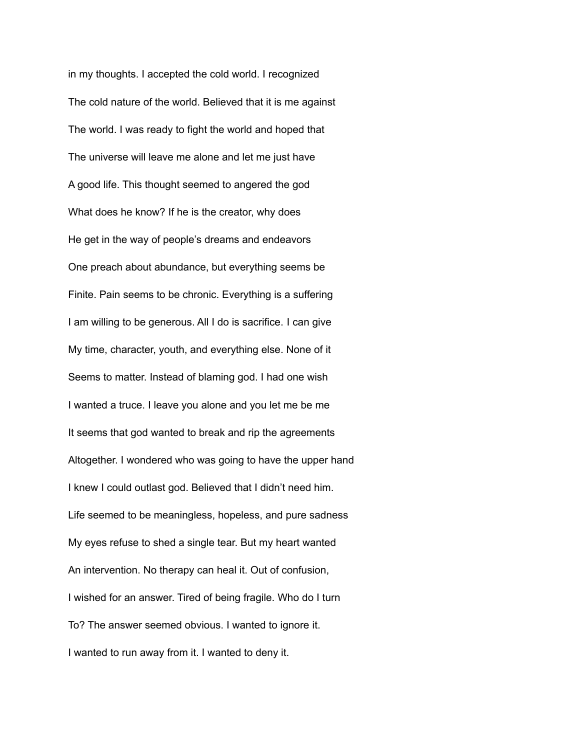in my thoughts. I accepted the cold world. I recognized The cold nature of the world. Believed that it is me against The world. I was ready to fight the world and hoped that The universe will leave me alone and let me just have A good life. This thought seemed to angered the god What does he know? If he is the creator, why does He get in the way of people's dreams and endeavors One preach about abundance, but everything seems be Finite. Pain seems to be chronic. Everything is a suffering I am willing to be generous. All I do is sacrifice. I can give My time, character, youth, and everything else. None of it Seems to matter. Instead of blaming god. I had one wish I wanted a truce. I leave you alone and you let me be me It seems that god wanted to break and rip the agreements Altogether. I wondered who was going to have the upper hand I knew I could outlast god. Believed that I didn't need him. Life seemed to be meaningless, hopeless, and pure sadness My eyes refuse to shed a single tear. But my heart wanted An intervention. No therapy can heal it. Out of confusion, I wished for an answer. Tired of being fragile. Who do I turn To? The answer seemed obvious. I wanted to ignore it. I wanted to run away from it. I wanted to deny it.